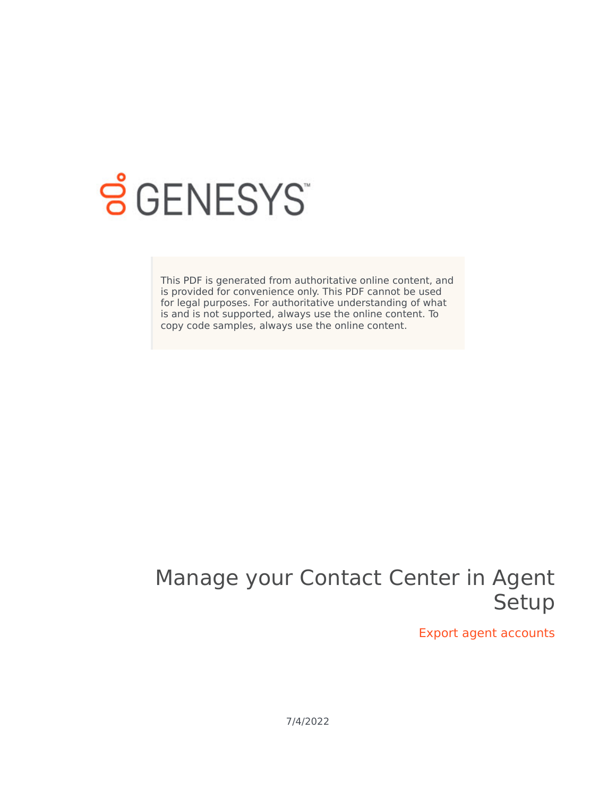

# **SGENESYS**

This PDF is generated from authoritative online content, and is provided for convenience only. This PDF cannot be used for legal purposes. For authoritative understanding of what is and is not supported, always use the online content. To copy code samples, always use the online content.

## Manage your Contact Center in Agent Setup

Export agent accounts

7/4/2022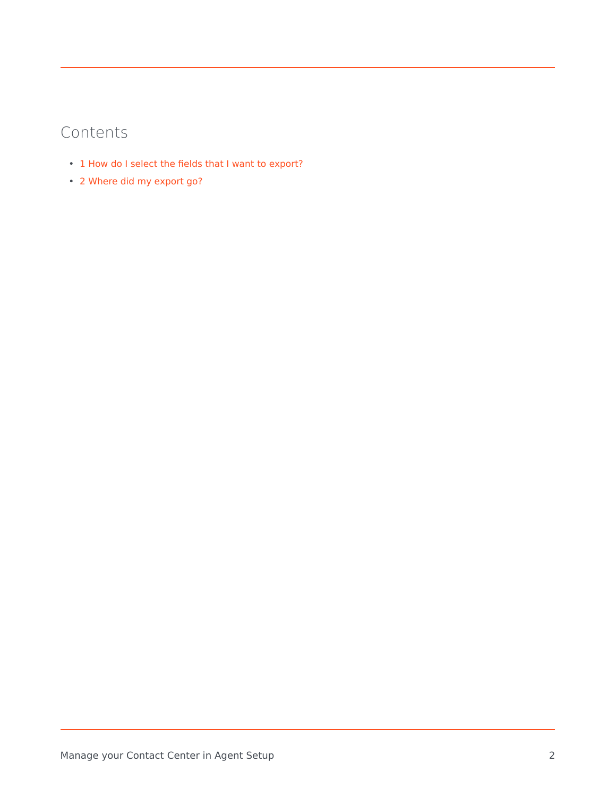### Contents

- 1 [How do I select the fields that I want to export?](#page-3-0)
- 2 [Where did my export go?](#page-4-0)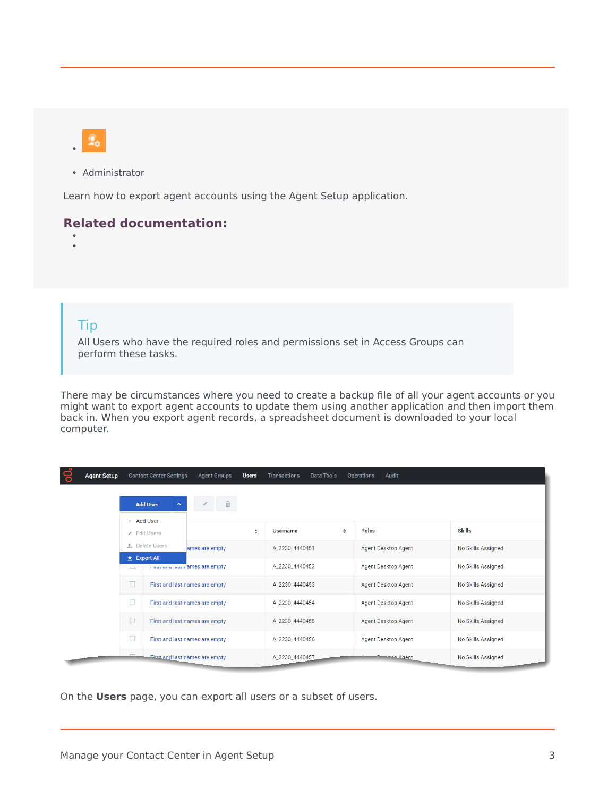

• Administrator

Learn how to export agent accounts using the Agent Setup application.

#### **Related documentation:**

• •

#### Tip

All Users who have the required roles and permissions set in Access Groups can perform these tasks.

There may be circumstances where you need to create a backup file of all your agent accounts or you might want to export agent accounts to update them using another application and then import them back in. When you export agent records, a spreadsheet document is downloaded to your local computer.

| ဓ<br><b>Agent Setup</b> |                                                           | <b>Contact Center Settings</b>        | <b>Agent Groups</b> | <b>Users</b>    | <b>Transactions</b><br><b>Data Tools</b> |                            | Audit<br><b>Operations</b> |                           |  |  |
|-------------------------|-----------------------------------------------------------|---------------------------------------|---------------------|-----------------|------------------------------------------|----------------------------|----------------------------|---------------------------|--|--|
|                         | <b>Add User</b><br>$\hat{\phantom{a}}$<br>+ Add User      |                                       |                     |                 |                                          |                            |                            |                           |  |  |
|                         | <b>Edit Users</b>                                         |                                       | ♦                   | <b>Username</b> | ⇔                                        | <b>Roles</b>               | <b>Skills</b>              |                           |  |  |
|                         |                                                           | <b>A</b> Delete Users                 | ames are empty      |                 | A_2230_4440451                           |                            | <b>Agent Desktop Agent</b> | No Skills Assigned        |  |  |
|                         | $\pm$ Export All<br>This candidate in ames are empty<br>÷ |                                       |                     | A_2230_4440452  |                                          | <b>Agent Desktop Agent</b> | <b>No Skills Assigned</b>  |                           |  |  |
|                         | $\Box$                                                    | First and last names are empty        |                     |                 | A_2230_4440453                           |                            | <b>Agent Desktop Agent</b> | <b>No Skills Assigned</b> |  |  |
|                         | $\Box$                                                    | First and last names are empty        |                     |                 | A_2230_4440454                           |                            | <b>Agent Desktop Agent</b> | <b>No Skills Assigned</b> |  |  |
|                         | $\Box$                                                    | First and last names are empty        |                     |                 | A_2230_4440455                           |                            | <b>Agent Desktop Agent</b> | <b>No Skills Assigned</b> |  |  |
|                         | □                                                         | First and last names are empty        |                     |                 | A 2230 4440456                           |                            | <b>Agent Desktop Agent</b> | <b>No Skills Assigned</b> |  |  |
|                         |                                                           | <b>First and last names are empty</b> |                     |                 | A_2230_4440457                           |                            | <b>Agent</b>               | <b>No Skills Assigned</b> |  |  |

On the **Users** page, you can export all users or a subset of users.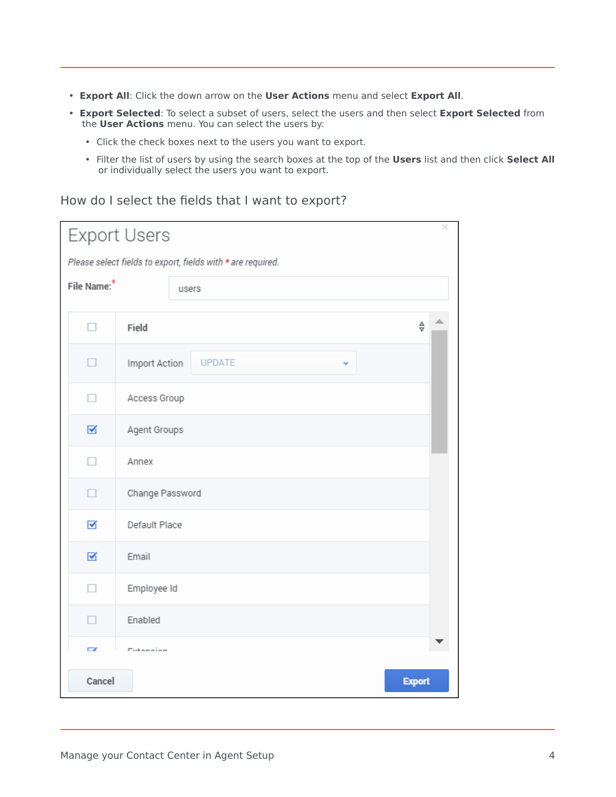- **Export All**: Click the down arrow on the **User Actions** menu and select **Export All**.
- **Export Selected**: To select a subset of users, select the users and then select **Export Selected** from the **User Actions** menu. You can select the users by:
	- Click the check boxes next to the users you want to export.
	- Filter the list of users by using the search boxes at the top of the **Users** list and then click **Select All** or individually select the users you want to export.

#### <span id="page-3-0"></span>How do I select the fields that I want to export?

| ×<br><b>Export Users</b>                                    |                                  |               |  |  |  |  |  |  |  |
|-------------------------------------------------------------|----------------------------------|---------------|--|--|--|--|--|--|--|
| Please select fields to export, fields with * are required. |                                  |               |  |  |  |  |  |  |  |
| File Name: <sup>*</sup>                                     |                                  | users         |  |  |  |  |  |  |  |
|                                                             |                                  |               |  |  |  |  |  |  |  |
| п                                                           | $\frac{\Delta}{\nabla}$<br>Field |               |  |  |  |  |  |  |  |
| ٠                                                           | Import Action                    | <b>UPDATE</b> |  |  |  |  |  |  |  |
| П                                                           | Access Group                     |               |  |  |  |  |  |  |  |
| ☑                                                           | Agent Groups                     |               |  |  |  |  |  |  |  |
| п                                                           | Annex                            |               |  |  |  |  |  |  |  |
| □                                                           | Change Password                  |               |  |  |  |  |  |  |  |
| ☑                                                           | Default Place                    |               |  |  |  |  |  |  |  |
| ☑                                                           | Email                            |               |  |  |  |  |  |  |  |
| п                                                           | Employee Id                      |               |  |  |  |  |  |  |  |
| п                                                           | Enabled                          |               |  |  |  |  |  |  |  |
| ГZ,                                                         | Extension                        |               |  |  |  |  |  |  |  |
| Cancel<br><b>Export</b>                                     |                                  |               |  |  |  |  |  |  |  |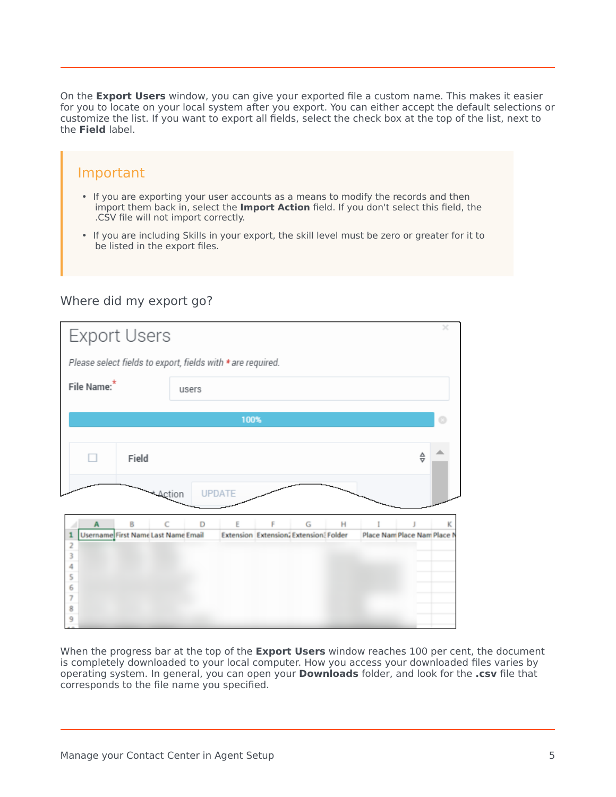On the **Export Users** window, you can give your exported file a custom name. This makes it easier for you to locate on your local system after you export. You can either accept the default selections or customize the list. If you want to export all fields, select the check box at the top of the list, next to the **Field** label.

#### Important

- If you are exporting your user accounts as a means to modify the records and then import them back in, select the **Import Action** field. If you don't select this field, the .CSV file will not import correctly.
- If you are including Skills in your export, the skill level must be zero or greater for it to be listed in the export files.

#### <span id="page-4-0"></span>Where did my export go?

| <b>Export Users</b>                           |                                                                              |   |  |  |  |  |  |
|-----------------------------------------------|------------------------------------------------------------------------------|---|--|--|--|--|--|
|                                               | Please select fields to export, fields with * are required.                  |   |  |  |  |  |  |
| File Name: <sup>*</sup>                       | users                                                                        |   |  |  |  |  |  |
|                                               | 100%                                                                         |   |  |  |  |  |  |
|                                               |                                                                              |   |  |  |  |  |  |
| Field                                         | $\frac{\Delta}{\nabla}$                                                      |   |  |  |  |  |  |
|                                               | <b>UPDATE</b><br>Action                                                      |   |  |  |  |  |  |
| B<br>A                                        | Ċ<br>G<br>D<br>F<br>н                                                        | κ |  |  |  |  |  |
| Username First Name Last Name Email<br>1<br>2 | <b>Extension Extension, Extension: Folder</b><br>Place Nam Place Nam Place N |   |  |  |  |  |  |
| $\frac{3}{4}$                                 |                                                                              |   |  |  |  |  |  |
| 5<br>6                                        |                                                                              |   |  |  |  |  |  |
| $\frac{7}{8}$<br>9                            |                                                                              |   |  |  |  |  |  |
|                                               |                                                                              |   |  |  |  |  |  |

When the progress bar at the top of the **Export Users** window reaches 100 per cent, the document is completely downloaded to your local computer. How you access your downloaded files varies by operating system. In general, you can open your **Downloads** folder, and look for the **.csv** file that corresponds to the file name you specified.